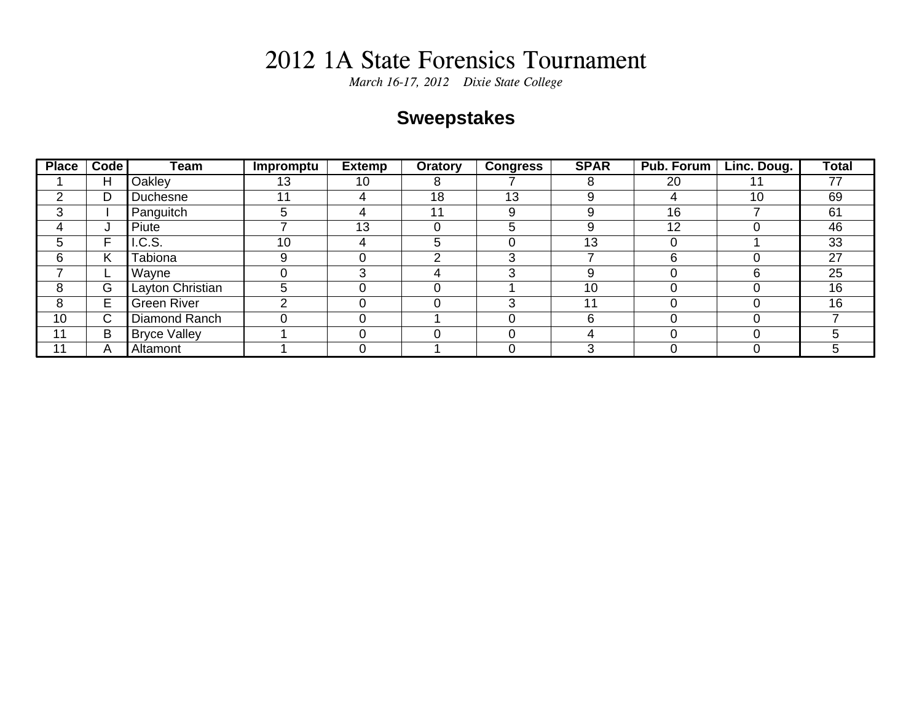*March 16-17, 2012 Dixie State College*

### **Sweepstakes**

| <b>Place</b> | <b>Code</b> | Team                | Impromptu | <b>Extemp</b> | Oratory | <b>Congress</b> | <b>SPAR</b> | Pub. Forum | Linc. Doug. | <b>Total</b> |
|--------------|-------------|---------------------|-----------|---------------|---------|-----------------|-------------|------------|-------------|--------------|
|              | Н           | Oakley              | 13        | 10            | 8       |                 |             | 20         |             | 77           |
| ⌒            | D           | Duchesne            | 11        | 4             | 18      | 13              |             |            | 10          | 69           |
| 3            |             | Panguitch           | 5         | 4             | 11      | 9               |             | 16         |             | 61           |
| 4            | J           | Piute               |           | 13            |         |                 |             | 12         |             | 46           |
| 5            | F           | I.C.S.              | 10        |               | 5       |                 | 13          |            |             | 33           |
| 6            | Κ           | Tabiona             | 9         |               | ◠       |                 |             | 6          |             | 27           |
|              | ┕           | Wayne               |           |               |         |                 |             |            |             | 25           |
| 8            | G           | Layton Christian    | 5         |               |         |                 | 10          |            |             | 16           |
| 8            | E           | <b>Green River</b>  | ◠         |               |         |                 | 11          |            |             | 16           |
| 10           | С           | Diamond Ranch       |           |               |         |                 |             |            |             |              |
| 11           | B           | <b>Bryce Valley</b> |           |               |         |                 |             |            |             |              |
| . 1          | A           | Altamont            |           |               |         |                 |             |            |             |              |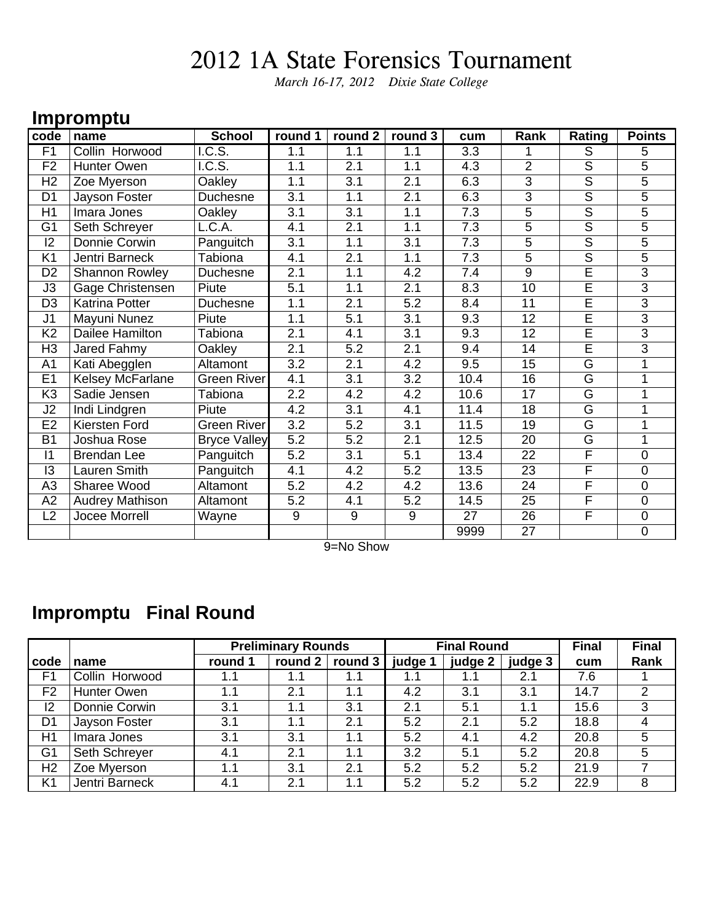*March 16-17, 2012 Dixie State College*

#### **Impromptu**

| code           | name                   | <b>School</b>              | round 1          | round 2          | round 3          | cum  | Rank            | Rating                  | <b>Points</b>  |
|----------------|------------------------|----------------------------|------------------|------------------|------------------|------|-----------------|-------------------------|----------------|
| F <sub>1</sub> | Collin Horwood         | IC.S.                      | 1.1              | 1.1              | 1.1              | 3.3  |                 | $\overline{S}$          | 5              |
| F <sub>2</sub> | Hunter Owen            | $\overline{\text{I.C.S.}}$ | 1.1              | 2.1              | 1.1              | 4.3  | $\overline{2}$  | $\overline{\mathsf{s}}$ | 5              |
| H2             | Zoe Myerson            | Oakley                     | 1.1              | 3.1              | 2.1              | 6.3  | $\overline{3}$  | $\overline{\mathsf{S}}$ | 5              |
| D <sub>1</sub> | Jayson Foster          | Duchesne                   | 3.1              | 1.1              | 2.1              | 6.3  | 3               | $\overline{s}$          | 5              |
| H1             | Imara Jones            | Oakley                     | 3.1              | 3.1              | 1.1              | 7.3  | 5               | $\overline{\mathsf{s}}$ | 5              |
| G <sub>1</sub> | Seth Schreyer          | L.C.A.                     | 4.1              | $\overline{2.1}$ | 1.1              | 7.3  | 5               | $\overline{\mathsf{s}}$ | 5              |
| 2              | Donnie Corwin          | Panguitch                  | $\overline{3.1}$ | 1.1              | 3.1              | 7.3  | 5               | $\overline{\mathsf{s}}$ | $\overline{5}$ |
| K <sub>1</sub> | Jentri Barneck         | Tabiona                    | 4.1              | 2.1              | 1.1              | 7.3  | $\overline{5}$  | $\overline{\mathsf{S}}$ | $\overline{5}$ |
| D <sub>2</sub> | <b>Shannon Rowley</b>  | Duchesne                   | 2.1              | 1.1              | 4.2              | 7.4  | 9               | $\overline{\mathsf{E}}$ | $\overline{3}$ |
| J3             | Gage Christensen       | Piute                      | 5.1              | 1.1              | 2.1              | 8.3  | 10              | $\overline{\mathsf{E}}$ | 3              |
| D <sub>3</sub> | Katrina Potter         | Duchesne                   | 1.1              | 2.1              | $\overline{5.2}$ | 8.4  | $\overline{11}$ | Έ                       | $\overline{3}$ |
| J <sub>1</sub> | Mayuni Nunez           | Piute                      | 1.1              | 5.1              | 3.1              | 9.3  | 12              | Έ                       | $\overline{3}$ |
| K <sub>2</sub> | Dailee Hamilton        | Tabiona                    | 2.1              | 4.1              | 3.1              | 9.3  | 12              | Έ                       | $\overline{3}$ |
| H <sub>3</sub> | Jared Fahmy            | Oakley                     | 2.1              | 5.2              | 2.1              | 9.4  | 14              | $\overline{\mathsf{E}}$ | $\overline{3}$ |
| A <sub>1</sub> | Kati Abegglen          | Altamont                   | 3.2              | 2.1              | 4.2              | 9.5  | 15              | G                       |                |
| E1             | Kelsey McFarlane       | <b>Green River</b>         | 4.1              | 3.1              | 3.2              | 10.4 | 16              | G                       | 1              |
| K <sub>3</sub> | Sadie Jensen           | Tabiona                    | 2.2              | 4.2              | 4.2              | 10.6 | 17              | $\overline{G}$          | 1              |
| J2             | Indi Lindgren          | Piute                      | 4.2              | 3.1              | 4.1              | 11.4 | 18              | $\overline{G}$          |                |
| E2             | Kiersten Ford          | <b>Green River</b>         | $\overline{3.2}$ | $\overline{5.2}$ | 3.1              | 11.5 | 19              | $\overline{G}$          |                |
| <b>B1</b>      | Joshua Rose            | <b>Bryce Valley</b>        | 5.2              | 5.2              | 2.1              | 12.5 | 20              | G                       | 1              |
| $\vert$ 1      | <b>Brendan Lee</b>     | Panguitch                  | 5.2              | 3.1              | 5.1              | 13.4 | 22              | F                       | $\Omega$       |
| 13             | Lauren Smith           | Panguitch                  | 4.1              | 4.2              | 5.2              | 13.5 | 23              | F                       | $\overline{0}$ |
| A <sub>3</sub> | Sharee Wood            | Altamont                   | 5.2              | 4.2              | 4.2              | 13.6 | $\overline{24}$ | F                       | $\overline{0}$ |
| A2             | <b>Audrey Mathison</b> | Altamont                   | 5.2              | 4.1              | 5.2              | 14.5 | $\overline{25}$ | F                       | $\overline{0}$ |
| L2             | Jocee Morrell          | Wayne                      | 9                | 9                | $\boldsymbol{9}$ | 27   | 26              | $\overline{F}$          | $\mathbf 0$    |
|                |                        |                            |                  |                  |                  | 9999 | 27              |                         | $\mathbf 0$    |

9=No Show

### **Impromptu Final Round**

|                |                    |         | <b>Preliminary Rounds</b> |           |         | <b>Final Round</b> |         | <b>Final</b> | <b>Final</b> |
|----------------|--------------------|---------|---------------------------|-----------|---------|--------------------|---------|--------------|--------------|
| code           | name               | round 1 | round 2                   | round $3$ | judge 1 | judge 2            | judge 3 | cum          | Rank         |
| F <sub>1</sub> | Collin Horwood     | 1.1     | 1.1                       | 1.1       | 1.1     | 1.1                | 2.1     | 7.6          |              |
| F <sub>2</sub> | <b>Hunter Owen</b> | 1.1     | 2.1                       | 1.1       | 4.2     | 3.1                | 3.1     | 14.7         | 2            |
| 12             | Donnie Corwin      | 3.1     | 1.1                       | 3.1       | 2.1     | 5.1                | 1.1     | 15.6         | 3            |
| D <sub>1</sub> | Jayson Foster      | 3.1     | 1.1                       | 2.1       | 5.2     | 2.1                | 5.2     | 18.8         | 4            |
| H1             | Imara Jones        | 3.1     | 3.1                       | 1.1       | 5.2     | 4.1                | 4.2     | 20.8         | 5            |
| G <sub>1</sub> | Seth Schreyer      | 4.1     | 2.1                       | 1.1       | 3.2     | 5.1                | 5.2     | 20.8         | 5            |
| H <sub>2</sub> | Zoe Myerson        | 1.1     | 3.1                       | 2.1       | 5.2     | 5.2                | 5.2     | 21.9         |              |
| K <sub>1</sub> | Jentri Barneck     | 4.1     | 2.1                       | 1.1       | 5.2     | 5.2                | 5.2     | 22.9         | 8            |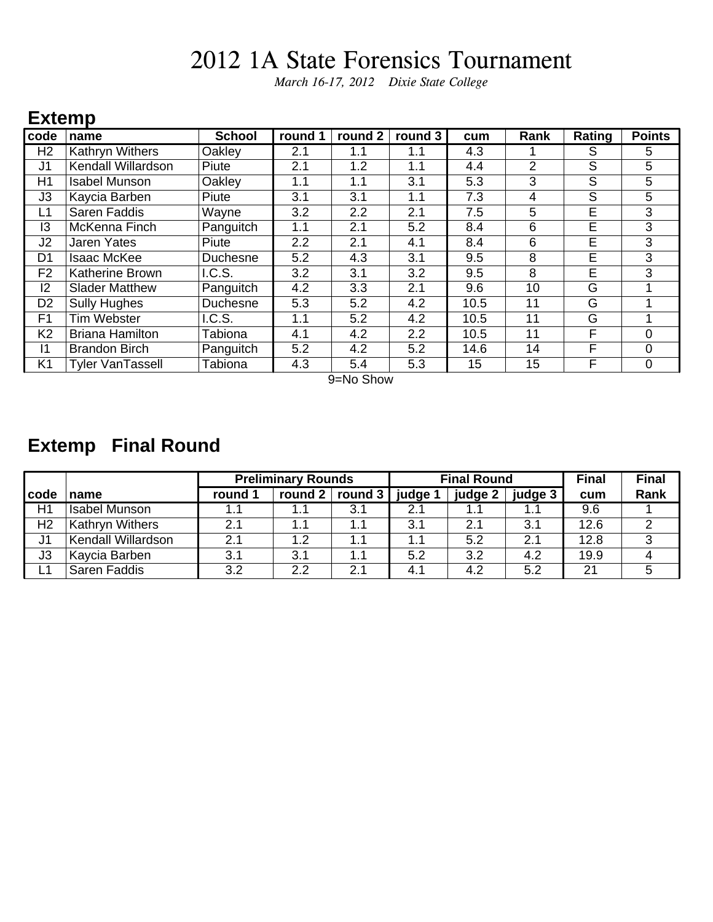*March 16-17, 2012 Dixie State College*

#### **Extemp**

| code           | name                   | <b>School</b>   | round 1 | round 2 | round 3 | cum  | Rank           | Rating | <b>Points</b> |
|----------------|------------------------|-----------------|---------|---------|---------|------|----------------|--------|---------------|
| H <sub>2</sub> | <b>Kathryn Withers</b> | Oakley          | 2.1     | 1.1     | 1.1     | 4.3  |                | S      | 5.            |
| J <sub>1</sub> | Kendall Willardson     | Piute           | 2.1     | 1.2     | 1.1     | 4.4  | $\overline{2}$ | S      | 5             |
| H1             | <b>Isabel Munson</b>   | Oakley          | 1.1     | 1.1     | 3.1     | 5.3  | 3              | S      | 5             |
| J3             | Kaycia Barben          | Piute           | 3.1     | 3.1     | 1.1     | 7.3  | 4              | S      | 5             |
| L1             | Saren Faddis           | Wayne           | 3.2     | 2.2     | 2.1     | 7.5  | 5              | E      | 3             |
| 13             | McKenna Finch          | Panguitch       | 1.1     | 2.1     | 5.2     | 8.4  | 6              | E      | 3             |
| J <sub>2</sub> | <b>Jaren Yates</b>     | Piute           | 2.2     | 2.1     | 4.1     | 8.4  | 6              | Е      | 3             |
| D1             | <b>Isaac McKee</b>     | <b>Duchesne</b> | 5.2     | 4.3     | 3.1     | 9.5  | 8              | Е      | 3             |
| F <sub>2</sub> | Katherine Brown        | I.C.S.          | 3.2     | 3.1     | 3.2     | 9.5  | 8              | E      | 3             |
| $ 2\rangle$    | <b>Slader Matthew</b>  | Panguitch       | 4.2     | 3.3     | 2.1     | 9.6  | 10             | G      |               |
| D <sub>2</sub> | <b>Sully Hughes</b>    | Duchesne        | 5.3     | 5.2     | 4.2     | 10.5 | 11             | G      |               |
| F <sub>1</sub> | <b>Tim Webster</b>     | I.C.S.          | 1.1     | 5.2     | 4.2     | 10.5 | 11             | G      |               |
| K <sub>2</sub> | <b>Briana Hamilton</b> | Tabiona         | 4.1     | 4.2     | 2.2     | 10.5 | 11             | F      | 0             |
| $\vert$ 1      | <b>Brandon Birch</b>   | Panguitch       | 5.2     | 4.2     | 5.2     | 14.6 | 14             | F      | 0             |
| K <sub>1</sub> | Tyler VanTassell       | Tabiona         | 4.3     | 5.4     | 5.3     | 15   | 15             | F      | 0             |

9=No Show

### **Extemp Final Round**

|                |                        |         | <b>Preliminary Rounds</b> |                         |         | <b>Final Round</b> |         | <b>Final</b> | <b>Final</b> |
|----------------|------------------------|---------|---------------------------|-------------------------|---------|--------------------|---------|--------------|--------------|
| code           | name                   | round 1 |                           | round 2 $ $ round 3 $ $ | judge 1 | judge 2            | judge 3 | cum          | <b>Rank</b>  |
| H1             | <b>Isabel Munson</b>   |         | 1.1                       | 3.1                     | 2.1     |                    | 1.1     | 9.6          |              |
| H <sub>2</sub> | <b>Kathryn Withers</b> | 2.1     | 1.1                       | 1.1                     | 3.1     | 2.1                | 3.1     | 12.6         |              |
| J <sub>1</sub> | Kendall Willardson     | 2.1     | 1.2                       | 1.1                     | 1.1     | 5.2                | 2.1     | 12.8         |              |
| J3             | Kaycia Barben          | 3.1     | 3.1                       | 1.1                     | 5.2     | 3.2                | 4.2     | 19.9         |              |
|                | Saren Faddis           | 3.2     | 2.2                       | 2.1                     | 4.1     | 4.2                | 5.2     | 21           |              |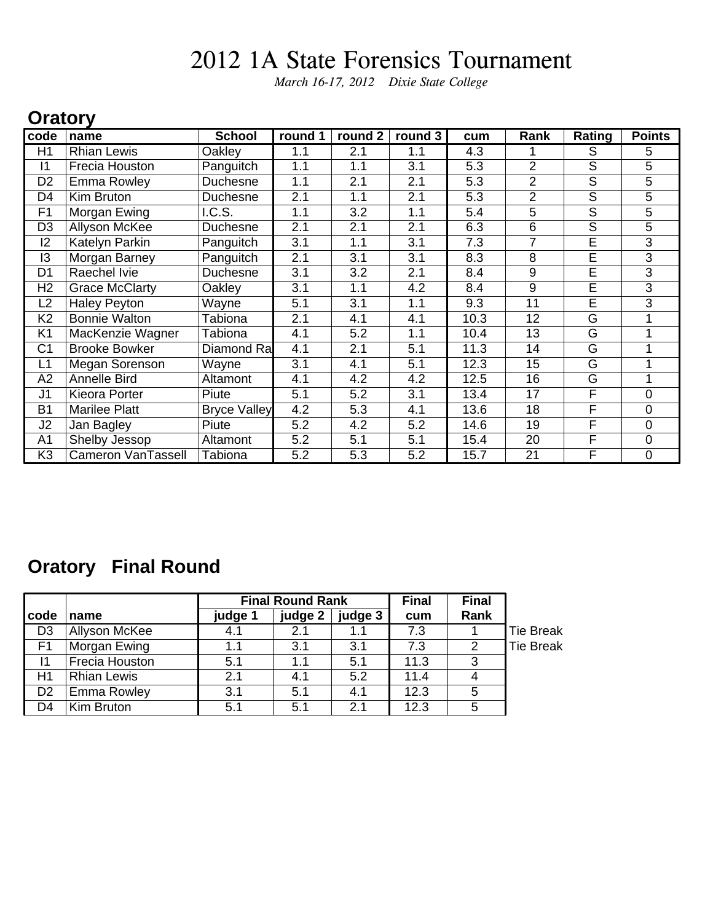*March 16-17, 2012 Dixie State College*

#### **Oratory**

| code           | name                      | <b>School</b>       | round 1 | round 2 | round 3 | cum  | Rank           | Rating                  | <b>Points</b>  |
|----------------|---------------------------|---------------------|---------|---------|---------|------|----------------|-------------------------|----------------|
| H1             | <b>Rhian Lewis</b>        | Oakley              | 1.1     | 2.1     | 1.1     | 4.3  |                | S                       | 5              |
| 11             | Frecia Houston            | Panguitch           | 1.1     | 1.1     | 3.1     | 5.3  | $\overline{2}$ | S                       | 5              |
| D <sub>2</sub> | Emma Rowley               | <b>Duchesne</b>     | 1.1     | 2.1     | 2.1     | 5.3  | $\overline{2}$ | $\overline{\mathsf{S}}$ | 5              |
| D <sub>4</sub> | Kim Bruton                | Duchesne            | 2.1     | 1.1     | 2.1     | 5.3  | $\overline{2}$ | S                       | 5              |
| F <sub>1</sub> | Morgan Ewing              | I.C.S.              | 1.1     | 3.2     | 1.1     | 5.4  | 5              | S                       | 5              |
| D <sub>3</sub> | <b>Allyson McKee</b>      | <b>Duchesne</b>     | 2.1     | 2.1     | 2.1     | 6.3  | 6              | $\overline{\mathsf{s}}$ | $\overline{5}$ |
| 2              | Katelyn Parkin            | Panguitch           | 3.1     | 1.1     | 3.1     | 7.3  | 7              | E                       | $\overline{3}$ |
| 13             | Morgan Barney             | Panguitch           | 2.1     | 3.1     | 3.1     | 8.3  | 8              | E                       | 3              |
| D <sub>1</sub> | Raechel Ivie              | Duchesne            | 3.1     | 3.2     | 2.1     | 8.4  | 9              | E                       | 3              |
| H <sub>2</sub> | <b>Grace McClarty</b>     | Oakley              | 3.1     | 1.1     | 4.2     | 8.4  | 9              | E                       | 3              |
| L2             | <b>Haley Peyton</b>       | Wayne               | 5.1     | 3.1     | 1.1     | 9.3  | 11             | E                       | $\overline{3}$ |
| K <sub>2</sub> | <b>Bonnie Walton</b>      | Tabiona             | 2.1     | 4.1     | 4.1     | 10.3 | 12             | G                       |                |
| K <sub>1</sub> | MacKenzie Wagner          | Tabiona             | 4.1     | 5.2     | 1.1     | 10.4 | 13             | G                       | 1              |
| C <sub>1</sub> | <b>Brooke Bowker</b>      | Diamond Ra          | 4.1     | 2.1     | 5.1     | 11.3 | 14             | G                       |                |
| L1             | Megan Sorenson            | Wayne               | 3.1     | 4.1     | 5.1     | 12.3 | 15             | G                       |                |
| A2             | Annelle Bird              | Altamont            | 4.1     | 4.2     | 4.2     | 12.5 | 16             | G                       |                |
| J <sub>1</sub> | Kieora Porter             | Piute               | 5.1     | 5.2     | 3.1     | 13.4 | 17             | F                       | 0              |
| <b>B1</b>      | <b>Marilee Platt</b>      | <b>Bryce Valley</b> | 4.2     | 5.3     | 4.1     | 13.6 | 18             | F                       | $\overline{0}$ |
| J2             | Jan Bagley                | Piute               | 5.2     | 4.2     | 5.2     | 14.6 | 19             | F                       | $\overline{0}$ |
| A1             | Shelby Jessop             | Altamont            | 5.2     | 5.1     | 5.1     | 15.4 | 20             | F                       | 0              |
| K <sub>3</sub> | <b>Cameron VanTassell</b> | Tabiona             | 5.2     | 5.3     | 5.2     | 15.7 | 21             | F                       | 0              |

#### **Oratory Final Round**

|                |                    |         | <b>Final Round Rank</b> |         | <b>Final</b> | <b>Final</b> |                  |
|----------------|--------------------|---------|-------------------------|---------|--------------|--------------|------------------|
| code           | name               | judge 1 | judge 2                 | judge 3 | cum          | Rank         |                  |
| D <sub>3</sub> | Allyson McKee      | 4.1     | 2.1                     | 1.1     | 7.3          |              | <b>Tie Break</b> |
| F <sub>1</sub> | Morgan Ewing       | 1.1     | 3.1                     | 3.1     | 7.3          | 2            | <b>Tie Break</b> |
| 11             | Frecia Houston     | 5.1     | 1.1                     | 5.1     | 11.3         | 3            |                  |
| H1             | <b>Rhian Lewis</b> | 2.1     | 4.1                     | 5.2     | 11.4         |              |                  |
| D <sub>2</sub> | <b>Emma Rowley</b> | 3.1     | 5.1                     | 4.1     | 12.3         | 5            |                  |
| D4             | Kim Bruton         | 5.1     | 5.1                     | 2.1     | 12.3         | 5            |                  |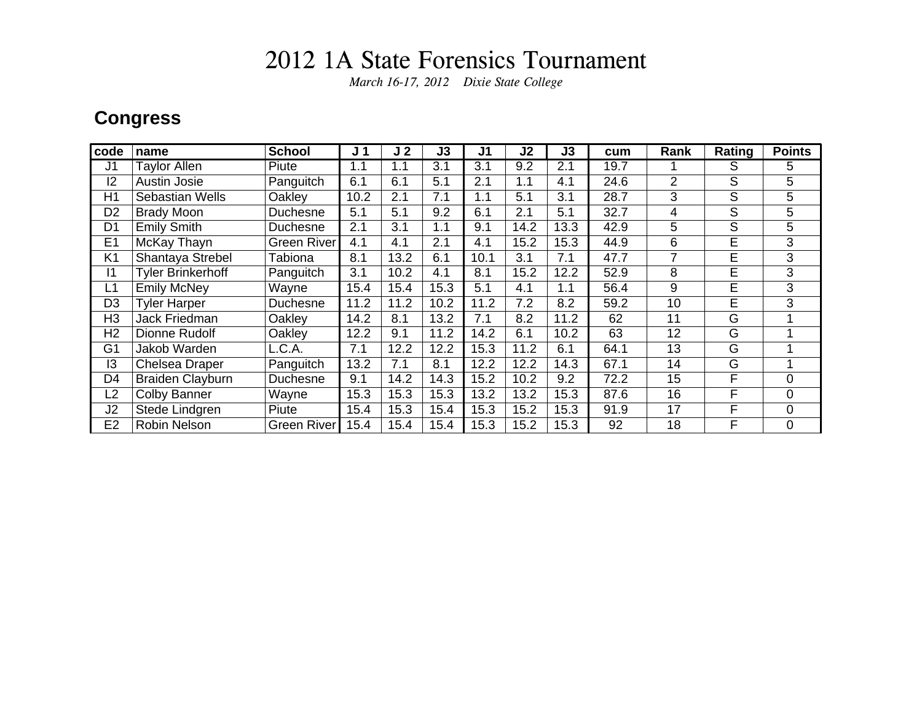*March 16-17, 2012 Dixie State College*

### **Congress**

| code           | name                     | <b>School</b> | J <sub>1</sub> | J <sub>2</sub> | J3   | J1   | J <sub>2</sub> | J3   | cum  | Rank           | Rating | <b>Points</b>  |
|----------------|--------------------------|---------------|----------------|----------------|------|------|----------------|------|------|----------------|--------|----------------|
| J <sub>1</sub> | <b>Taylor Allen</b>      | Piute         | 1.1            | 1.1            | 3.1  | 3.1  | 9.2            | 2.1  | 19.7 |                | S      | 5.             |
| 12             | <b>Austin Josie</b>      | Panguitch     | 6.1            | 6.1            | 5.1  | 2.1  | 1.1            | 4.1  | 24.6 | $\overline{2}$ | S      | 5              |
| H1             | <b>Sebastian Wells</b>   | Oakley        | 10.2           | 2.1            | 7.1  | 1.1  | 5.1            | 3.1  | 28.7 | 3              | S      | 5              |
| D <sub>2</sub> | <b>Brady Moon</b>        | Duchesne      | 5.1            | 5.1            | 9.2  | 6.1  | 2.1            | 5.1  | 32.7 | 4              | S      | 5              |
| D <sub>1</sub> | <b>Emily Smith</b>       | Duchesne      | 2.1            | 3.1            | 1.1  | 9.1  | 14.2           | 13.3 | 42.9 | 5              | S      | 5              |
| E <sub>1</sub> | McKay Thayn              | Green River   | 4.1            | 4.1            | 2.1  | 4.1  | 15.2           | 15.3 | 44.9 | 6              | E      | 3              |
| K <sub>1</sub> | Shantaya Strebel         | Tabiona       | 8.1            | 13.2           | 6.1  | 10.1 | 3.1            | 7.1  | 47.7 | 7              | E      | 3              |
| 11             | <b>Tyler Brinkerhoff</b> | Panguitch     | 3.1            | 10.2           | 4.1  | 8.1  | 15.2           | 12.2 | 52.9 | 8              | E      | 3              |
| L1             | <b>Emily McNey</b>       | Wayne         | 15.4           | 15.4           | 15.3 | 5.1  | 4.1            | 1.1  | 56.4 | 9              | E      | 3              |
| D <sub>3</sub> | <b>Tyler Harper</b>      | Duchesne      | 11.2           | 11.2           | 10.2 | 11.2 | 7.2            | 8.2  | 59.2 | 10             | E      | 3              |
| H3             | Jack Friedman            | Oakley        | 14.2           | 8.1            | 13.2 | 7.1  | 8.2            | 11.2 | 62   | 11             | G      |                |
| H <sub>2</sub> | Dionne Rudolf            | Oakley        | 12.2           | 9.1            | 11.2 | 14.2 | 6.1            | 10.2 | 63   | 12             | G      |                |
| G <sub>1</sub> | Jakob Warden             | L.C.A.        | 7.1            | 12.2           | 12.2 | 15.3 | 11.2           | 6.1  | 64.1 | 13             | G      |                |
| 13             | Chelsea Draper           | Panguitch     | 13.2           | 7.1            | 8.1  | 12.2 | 12.2           | 14.3 | 67.1 | 14             | G      |                |
| D <sub>4</sub> | <b>Braiden Clayburn</b>  | Duchesne      | 9.1            | 14.2           | 14.3 | 15.2 | 10.2           | 9.2  | 72.2 | 15             | F      | $\overline{0}$ |
| L2             | <b>Colby Banner</b>      | Wayne         | 15.3           | 15.3           | 15.3 | 13.2 | 13.2           | 15.3 | 87.6 | 16             | F      | 0              |
| J2             | Stede Lindgren           | Piute         | 15.4           | 15.3           | 15.4 | 15.3 | 15.2           | 15.3 | 91.9 | 17             | F      | $\overline{0}$ |
| E <sub>2</sub> | <b>Robin Nelson</b>      | Green River   | 15.4           | 15.4           | 15.4 | 15.3 | 15.2           | 15.3 | 92   | 18             | F      | $\overline{0}$ |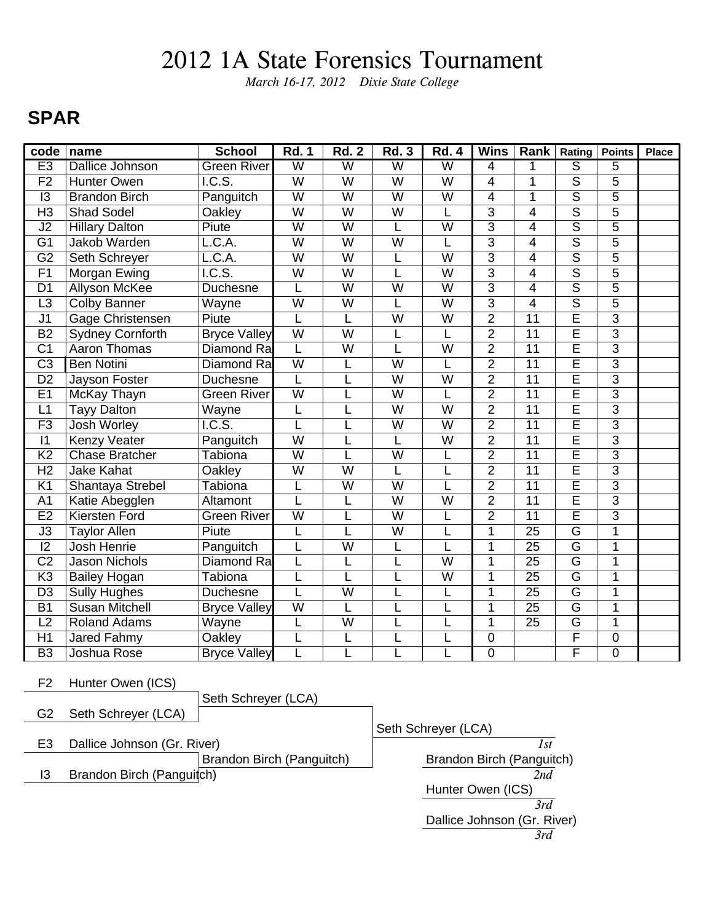*March 16-17, 2012 Dixie State College*

### **SPAR**

| code            | name                    | <b>School</b>                | <b>Rd. 1</b>            | <b>Rd. 2</b>            | <b>Rd. 3</b>            | <b>Rd. 4</b>            | <b>Wins</b>    | Rank            | Rating                   | <b>Points</b>  | <b>Place</b> |
|-----------------|-------------------------|------------------------------|-------------------------|-------------------------|-------------------------|-------------------------|----------------|-----------------|--------------------------|----------------|--------------|
| E3              | <b>Dallice Johnson</b>  | <b>Green River</b>           | $\overline{\mathsf{W}}$ | $\overline{W}$          | $\overline{\mathsf{W}}$ | $\overline{\mathsf{W}}$ | 4              | 1               | $\overline{\mathcal{S}}$ | 5              |              |
| F <sub>2</sub>  | <b>Hunter Owen</b>      | IC.S.                        | $\overline{\mathsf{W}}$ | $\overline{W}$          | $\overline{W}$          | $\overline{\mathsf{W}}$ | 4              | 1               | $\overline{s}$           | $\overline{5}$ |              |
| 13              | <b>Brandon Birch</b>    | Panguitch                    | $\overline{W}$          | $\overline{W}$          | W                       | W                       | $\overline{4}$ | 1               | $\overline{\mathsf{s}}$  | 5              |              |
| H <sub>3</sub>  | <b>Shad Sodel</b>       | Oakley                       | $\overline{\mathsf{W}}$ | $\overline{W}$          | W                       |                         | $\overline{3}$ | $\overline{4}$  | $\overline{\mathsf{s}}$  | $\overline{5}$ |              |
| J2              | <b>Hillary Dalton</b>   | Piute                        | $\overline{W}$          | $\overline{W}$          | L                       | W                       | $\overline{3}$ | 4               | $\overline{s}$           | $\overline{5}$ |              |
| $\overline{G1}$ | Jakob Warden            | L.C.A.                       | $\overline{W}$          | $\overline{\mathsf{w}}$ | $\overline{\mathsf{W}}$ | L                       | $\overline{3}$ | $\overline{4}$  | $\overline{\mathsf{s}}$  | $\overline{5}$ |              |
| $\overline{G2}$ | Seth Schreyer           | L.C.A.                       | $\overline{\textsf{W}}$ | $\overline{\mathsf{W}}$ | L                       | $\overline{\textsf{W}}$ | $\overline{3}$ | $\overline{4}$  | $\overline{\mathsf{s}}$  | $\overline{5}$ |              |
| $\overline{F1}$ | Morgan Ewing            | $\overline{\mathsf{I.C.S.}}$ | $\overline{\mathsf{w}}$ | $\overline{W}$          | L                       | $\overline{\mathsf{w}}$ | $\overline{3}$ | $\overline{4}$  | $\overline{\mathsf{s}}$  | $\overline{5}$ |              |
| D <sub>1</sub>  | Allyson McKee           | Duchesne                     | L                       | $\overline{W}$          | $\overline{W}$          | W                       | $\overline{3}$ | 4               | $\overline{\mathsf{s}}$  | 5              |              |
| L <sub>3</sub>  | <b>Colby Banner</b>     | Wayne                        | W                       | W                       |                         | W                       | $\overline{3}$ | $\overline{4}$  | $\overline{\mathsf{s}}$  | $\overline{5}$ |              |
| J <sub>1</sub>  | Gage Christensen        | Piute                        | L                       | L                       | W                       | W                       | $\overline{2}$ | $\overline{11}$ | Ē                        | $\overline{3}$ |              |
| $\overline{B2}$ | <b>Sydney Cornforth</b> | <b>Bryce Valley</b>          | $\overline{\mathsf{W}}$ | $\overline{\mathsf{w}}$ | L                       | L                       | $\overline{2}$ | $\overline{11}$ | $\overline{\mathsf{E}}$  | $\overline{3}$ |              |
| $\overline{C1}$ | Aaron Thomas            | Diamond Ra                   | L                       | $\overline{\mathsf{w}}$ | L                       | W                       | $\overline{2}$ | $\overline{11}$ | $\overline{\mathsf{E}}$  | $\overline{3}$ |              |
| $\overline{C3}$ | <b>Ben Notini</b>       | <b>Diamond Ra</b>            | $\overline{W}$          |                         | $\overline{W}$          | L                       | $\overline{2}$ | $\overline{11}$ | $\overline{\mathsf{E}}$  | $\overline{3}$ |              |
| D <sub>2</sub>  | Jayson Foster           | Duchesne                     | L                       |                         | $\overline{\mathsf{W}}$ | $\overline{\mathsf{W}}$ | $\overline{2}$ | 11              | Ē                        | $\overline{3}$ |              |
| E1              | McKay Thayn             | <b>Green River</b>           | $\overline{W}$          |                         | W                       | L                       | $\overline{2}$ | $\overline{11}$ | $\overline{\mathsf{E}}$  | $\overline{3}$ |              |
| L1              | <b>Tayy Dalton</b>      | Wayne                        | L                       |                         | $\overline{\mathsf{W}}$ | $\overline{\mathsf{W}}$ | $\overline{2}$ | $\overline{11}$ | $\overline{\mathsf{E}}$  | $\overline{3}$ |              |
| F3              | <b>Josh Worley</b>      | $\overline{\text{I.C.S.}}$   | L                       | L                       | $\overline{W}$          | $\overline{W}$          | $\overline{2}$ | $\overline{11}$ | $\overline{\mathsf{E}}$  | $\overline{3}$ |              |
| 1               | <b>Kenzy Veater</b>     | Panguitch                    | $\overline{W}$          | L                       | L                       | W                       | $\overline{2}$ | 11              | $\overline{\mathsf{E}}$  | $\overline{3}$ |              |
| $\overline{K2}$ | Chase Bratcher          | Tabiona                      | $\overline{\mathsf{W}}$ |                         | $\overline{\mathsf{W}}$ | L                       | $\overline{2}$ | $\overline{11}$ | $\overline{E}$           | $\overline{3}$ |              |
| $\overline{H2}$ | <b>Jake Kahat</b>       | Oakley                       | $\overline{\mathsf{W}}$ | $\overline{\mathsf{W}}$ | L                       | L                       | $\overline{2}$ | $\overline{11}$ | Ē                        | $\overline{3}$ |              |
| K <sub>1</sub>  | Shantaya Strebel        | Tabiona                      | L                       | $\overline{W}$          | W                       | L                       | $\overline{2}$ | $\overline{11}$ | Ē                        | $\overline{3}$ |              |
| A <sub>1</sub>  | Katie Abegglen          | Altamont                     | L                       |                         | $\overline{\mathsf{W}}$ | $\overline{\textsf{W}}$ | $\overline{2}$ | $\overline{11}$ | $\overline{\mathsf{E}}$  | $\overline{3}$ |              |
| E2              | <b>Kiersten Ford</b>    | <b>Green River</b>           | $\overline{\mathsf{w}}$ | L                       | $\overline{W}$          | L                       | $\overline{2}$ | $\overline{11}$ | $\overline{\mathsf{E}}$  | $\overline{3}$ |              |
| J3              | <b>Taylor Allen</b>     | Piute                        | L                       | L                       | W                       | L                       | $\overline{1}$ | $\overline{25}$ | $\overline{\mathsf{G}}$  | $\overline{1}$ |              |
| 12              | Josh Henrie             | Panguitch                    |                         | $\overline{\mathsf{W}}$ | L                       | L                       | 1              | 25              | G                        | 1              |              |
| $\overline{C2}$ | <b>Jason Nichols</b>    | Diamond Ra                   | L                       | L                       | L                       | W                       | 1              | 25              | $\overline{\mathsf{G}}$  | $\mathbf 1$    |              |
| K3              | <b>Bailey Hogan</b>     | Tabiona                      |                         |                         | L                       | $\overline{W}$          | 1              | $\overline{25}$ | $\overline{\mathsf{G}}$  | $\overline{1}$ |              |
| D <sub>3</sub>  | <b>Sully Hughes</b>     | Duchesne                     | L                       | $\overline{W}$          | L                       | L                       | $\mathbf{1}$   | $\overline{25}$ | $\overline{\mathsf{G}}$  | $\overline{1}$ |              |
| <b>B1</b>       | <b>Susan Mitchell</b>   | <b>Bryce Valley</b>          | $\overline{W}$          | L                       | L                       | L                       | 1              | 25              | $\overline{\mathsf{G}}$  | $\overline{1}$ |              |
| L2              | <b>Roland Adams</b>     | Wayne                        | L                       | $\overline{W}$          | L                       | L                       | $\mathbf{1}$   | 25              | $\overline{\mathsf{G}}$  | 1              |              |
| H1              | Jared Fahmy             | Oakley                       |                         |                         |                         | L                       | $\mathbf 0$    |                 | F                        | $\overline{0}$ |              |
| $\overline{B3}$ | Joshua Rose             | <b>Bryce Valley</b>          | L                       |                         |                         | L                       | $\overline{0}$ |                 | $\overline{\mathsf{F}}$  | $\overline{0}$ |              |

F2 Hunter Owen (ICS)

|    |                             | Seth Schreyer (LCA)       |                             |
|----|-----------------------------|---------------------------|-----------------------------|
| G2 | Seth Schreyer (LCA)         |                           |                             |
|    |                             |                           | Seth Schreyer (LCA)         |
| E3 | Dallice Johnson (Gr. River) |                           | 1st                         |
|    |                             | Brandon Birch (Panguitch) | Brandon Birch (Panguitch)   |
| 13 | Brandon Birch (Panguitch)   |                           | 2nd                         |
|    |                             |                           | Hunter Owen (ICS)           |
|    |                             |                           | 3rd                         |
|    |                             |                           | Dallice Johnson (Gr. River) |
|    |                             |                           | 3rd                         |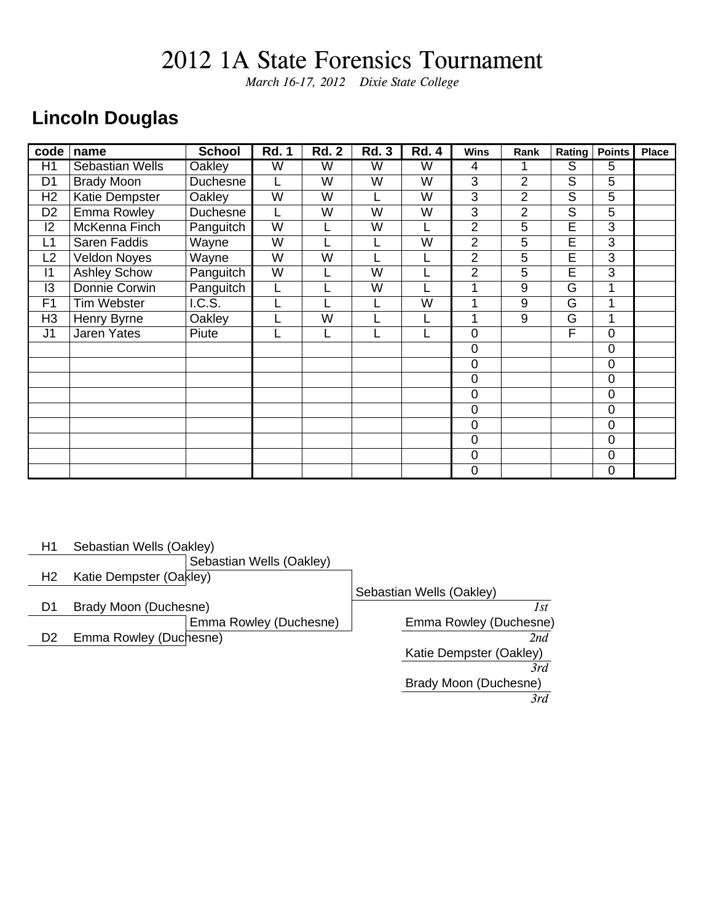*March 16-17, 2012 Dixie State College*

### **Lincoln Douglas**

| code           | name                   | <b>School</b>              | <b>Rd. 1</b> | <b>Rd. 2</b>            | <b>Rd. 3</b> | <b>Rd. 4</b> | <b>Wins</b>    | Rank           | Rating                  | <b>Points</b> | <b>Place</b> |
|----------------|------------------------|----------------------------|--------------|-------------------------|--------------|--------------|----------------|----------------|-------------------------|---------------|--------------|
| H1             | <b>Sebastian Wells</b> | Oakley                     | W            | W                       | W            | W            | 4              |                | S                       | 5             |              |
| D <sub>1</sub> | <b>Brady Moon</b>      | Duchesne                   |              | W                       | W            | W            | $\overline{3}$ | $\overline{2}$ | $\overline{\mathsf{S}}$ | 5             |              |
| H <sub>2</sub> | <b>Katie Dempster</b>  | Oakley                     | W            | W                       |              | W            | 3              | $\overline{2}$ | S                       | 5             |              |
| D <sub>2</sub> | <b>Emma Rowley</b>     | Duchesne                   |              | W                       | W            | W            | 3              | $\overline{2}$ | S                       | 5             |              |
| 2              | McKenna Finch          | Panguitch                  | W            |                         | W            |              | $\overline{2}$ | 5              | $\overline{\mathsf{E}}$ | 3             |              |
| L1             | Saren Faddis           | Wayne                      | W            |                         |              | W            | $\overline{2}$ | 5              | $\overline{\mathsf{E}}$ | 3             |              |
| L2             | <b>Veldon Noyes</b>    | Wayne                      | W            | W                       |              |              | $\overline{2}$ | 5              | E                       | 3             |              |
| 1              | <b>Ashley Schow</b>    | Panguitch                  | W            |                         | W            |              | $\overline{2}$ | 5              | E                       | 3             |              |
| 13             | Donnie Corwin          | Panguitch                  |              |                         | W            |              |                | 9              | G                       | 1             |              |
| F1             | <b>Tim Webster</b>     | $\overline{\text{I.C.S.}}$ |              |                         |              | W            |                | 9              | G                       | 1             |              |
| H <sub>3</sub> | Henry Byrne            | <b>Oakley</b>              |              | $\overline{\mathsf{W}}$ |              |              |                | 9              | $\overline{\mathsf{G}}$ | 1             |              |
| J <sub>1</sub> | <b>Jaren Yates</b>     | Piute                      |              |                         |              |              | $\mathbf 0$    |                | F                       | 0             |              |
|                |                        |                            |              |                         |              |              | $\mathbf 0$    |                |                         | 0             |              |
|                |                        |                            |              |                         |              |              | $\mathbf 0$    |                |                         | 0             |              |
|                |                        |                            |              |                         |              |              | $\overline{0}$ |                |                         | 0             |              |
|                |                        |                            |              |                         |              |              | $\mathbf 0$    |                |                         | 0             |              |
|                |                        |                            |              |                         |              |              | $\mathbf 0$    |                |                         | 0             |              |
|                |                        |                            |              |                         |              |              | $\overline{0}$ |                |                         | 0             |              |
|                |                        |                            |              |                         |              |              | $\mathbf 0$    |                |                         | 0             |              |
|                |                        |                            |              |                         |              |              | $\mathbf 0$    |                |                         | 0             |              |
|                |                        |                            |              |                         |              |              | $\mathbf 0$    |                |                         | 0             |              |

| H1             | Sebastian Wells (Oakley) |                          |                          |
|----------------|--------------------------|--------------------------|--------------------------|
|                |                          | Sebastian Wells (Oakley) |                          |
| H <sub>2</sub> | Katie Dempster (Oakley)  |                          |                          |
|                |                          |                          | Sebastian Wells (Oakley) |
| D1             | Brady Moon (Duchesne)    |                          | 1st                      |
|                |                          | Emma Rowley (Duchesne)   | Emma Rowley (Duchesne)   |
| D <sub>2</sub> | Emma Rowley (Duchesne)   |                          | 2nd                      |
|                |                          |                          | Katie Dempster (Oakley)  |
|                |                          |                          | 3rd                      |
|                |                          |                          | Brady Moon (Duchesne)    |
|                |                          |                          | 3rd                      |
|                |                          |                          |                          |